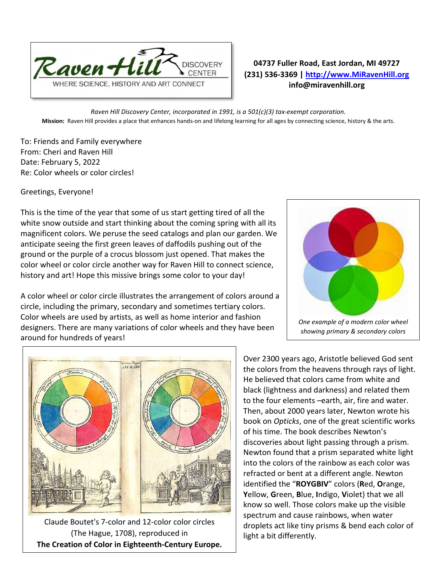

## **04737 Fuller Road, East Jordan, MI 49727 (231) 536-3369 | [http://www.MiRavenHill.org](http://www.miravenhill.org/) info@miravenhill.org**

*Raven Hill Discovery Center, incorporated in 1991, is a 501(c)(3) tax-exempt corporation.* **Mission:** Raven Hill provides a place that enhances hands-on and lifelong learning for all ages by connecting science, history & the arts.

To: Friends and Family everywhere From: Cheri and Raven Hill Date: February 5, 2022 Re: Color wheels or color circles!

Greetings, Everyone!

This is the time of the year that some of us start getting tired of all the white snow outside and start thinking about the coming spring with all its magnificent colors. We peruse the seed catalogs and plan our garden. We anticipate seeing the first green leaves of daffodils pushing out of the ground or the purple of a crocus blossom just opened. That makes the color wheel or color circle another way for Raven Hill to connect science, history and art! Hope this missive brings some color to your day!

A color wheel or color circle illustrates the arrangement of [colors](https://en.wikipedia.org/wiki/Color) around a circle, including the primary, secondary and sometimes tertiary colors. Color wheels are used by artists, as well as home interior and fashion designers. There are many variations of color wheels and they have been around for hundreds of years!





Claude Boutet's 7-color and 12-color color circles (The Hague, 1708), reproduced in **[The Creation of Color in Eighteenth-Century Europe.](http://www.gutenberg-e.org/lowengard/A_Chap03.html)**

Over 2300 years ago, Aristotle believed God sent the colors from the heavens through rays of light. He believed that colors came from white and black (lightness and darkness) and related them to the four elements –earth, air, fire and water. Then, about 2000 years later, Newton wrote his book on *Opticks*, one of the great scientific works of his time. The book describes Newton's discoveries about light passing through a prism. Newton found that a prism separated white light into the colors of the rainbow as each color was refracted or bent at a different angle. Newton identified the "**ROYGBIV**" colors (**R**ed, **O**range, **Y**ellow, **G**reen, **B**lue, **I**ndigo, **V**iolet) that we all know so well. Those colors make up the visible spectrum and cause rainbows, when water droplets act like tiny prisms & bend each color of light a bit differently.